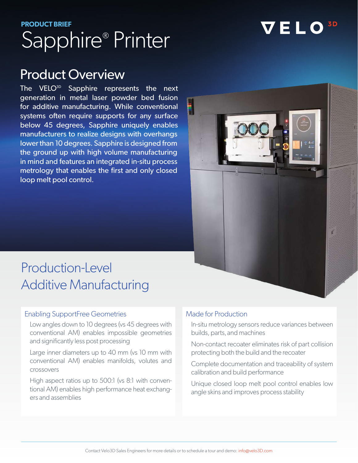# **PRODUCT BRIEF**  Sapphire® Printer

# VELO

# Product Overview

The  $VELO^{3D}$  Sapphire represents the next generation in metal laser powder bed fusion for additive manufacturing. While conventional systems often require supports for any surface below 45 degrees, Sapphire uniquely enables manufacturers to realize designs with overhangs lower than 10 degrees. Sapphire is designed from the ground up with high volume manufacturing in mind and features an integrated in-situ process metrology that enables the first and only closed loop melt pool control.



# Production-Level Additive Manufacturing

#### Enabling SupportFree Geometries

Low angles down to 10 degrees (vs 45 degrees with conventional AM) enables impossible geometries and significantly less post processing

Large inner diameters up to 40 mm (vs 10 mm with conventional AM) enables manifolds, volutes and crossovers

High aspect ratios up to 500:1 (vs 8:1 with conventional AM) enables high performance heat exchangers and assemblies

### Made for Production

In-situ metrology sensors reduce variances between builds, parts, and machines

Non-contact recoater eliminates risk of part collision protecting both the build and the recoater

Complete documentation and traceability of system calibration and build performance

Unique closed loop melt pool control enables low angle skins and improves process stability